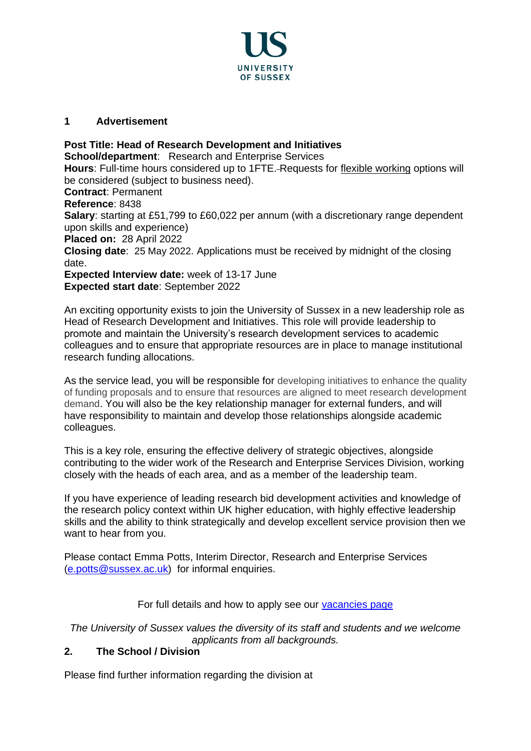

## **1 Advertisement**

**Post Title: Head of Research Development and Initiatives School/department:** Research and Enterprise Services **Hours**: Full-time hours considered up to 1FTE. Requests for [flexible working](http://www.sussex.ac.uk/humanresources/personnel/flexible-working) options will be considered (subject to business need). **Contract**: Permanent **Reference**: 8438 **Salary**: starting at £51,799 to £60,022 per annum (with a discretionary range dependent upon skills and experience) **Placed on:** 28 April 2022 **Closing date**: 25 May 2022. Applications must be received by midnight of the closing date. **Expected Interview date:** week of 13-17 June **Expected start date**: September 2022

An exciting opportunity exists to join the University of Sussex in a new leadership role as Head of Research Development and Initiatives. This role will provide leadership to promote and maintain the University's research development services to academic colleagues and to ensure that appropriate resources are in place to manage institutional research funding allocations.

As the service lead, you will be responsible for developing initiatives to enhance the quality of funding proposals and to ensure that resources are aligned to meet research development demand. You will also be the key relationship manager for external funders, and will have responsibility to maintain and develop those relationships alongside academic colleagues.

This is a key role, ensuring the effective delivery of strategic objectives, alongside contributing to the wider work of the Research and Enterprise Services Division, working closely with the heads of each area, and as a member of the leadership team.

If you have experience of leading research bid development activities and knowledge of the research policy context within UK higher education, with highly effective leadership skills and the ability to think strategically and develop excellent service provision then we want to hear from you.

Please contact Emma Potts, Interim Director, Research and Enterprise Services [\(e.potts@sussex.ac.uk\)](mailto:e.potts@sussex.ac.uk) for informal enquiries.

For full details and how to apply see our [vacancies page](http://www.sussex.ac.uk/about/jobs)

*The University of Sussex values the diversity of its staff and students and we welcome applicants from all backgrounds.*

## **2. The School / Division**

Please find further information regarding the division at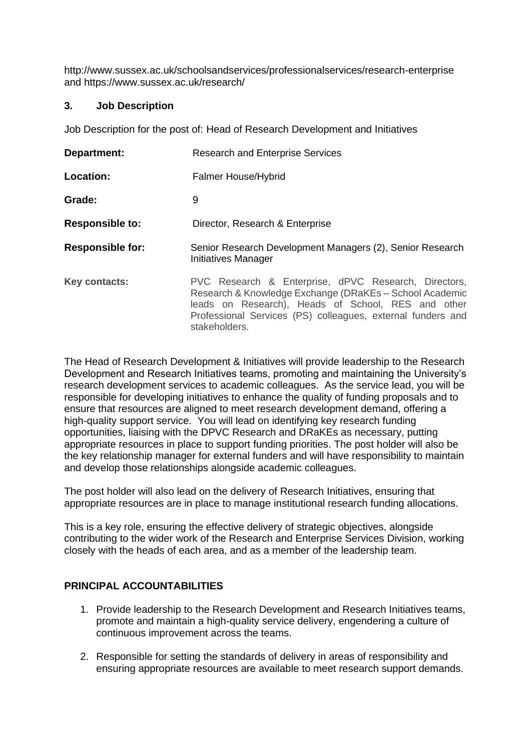http://www.sussex.ac.uk/schoolsandservices/professionalservices/research-enterprise and https://www.sussex.ac.uk/research/

#### **3. Job Description**

Job Description for the post of: Head of Research Development and Initiatives

| Department:             | <b>Research and Enterprise Services</b>                                                                                                                                                                                                               |
|-------------------------|-------------------------------------------------------------------------------------------------------------------------------------------------------------------------------------------------------------------------------------------------------|
| Location:               | <b>Falmer House/Hybrid</b>                                                                                                                                                                                                                            |
| Grade:                  | 9                                                                                                                                                                                                                                                     |
| <b>Responsible to:</b>  | Director, Research & Enterprise                                                                                                                                                                                                                       |
| <b>Responsible for:</b> | Senior Research Development Managers (2), Senior Research<br>Initiatives Manager                                                                                                                                                                      |
| Key contacts:           | PVC Research & Enterprise, dPVC Research, Directors,<br>Research & Knowledge Exchange (DRaKEs - School Academic<br>leads on Research), Heads of School, RES and other<br>Professional Services (PS) colleagues, external funders and<br>stakeholders. |

The Head of Research Development & Initiatives will provide leadership to the Research Development and Research Initiatives teams, promoting and maintaining the University's research development services to academic colleagues. As the service lead, you will be responsible for developing initiatives to enhance the quality of funding proposals and to ensure that resources are aligned to meet research development demand, offering a high-quality support service. You will lead on identifying key research funding opportunities, liaising with the DPVC Research and DRaKEs as necessary, putting appropriate resources in place to support funding priorities. The post holder will also be the key relationship manager for external funders and will have responsibility to maintain and develop those relationships alongside academic colleagues.

The post holder will also lead on the delivery of Research Initiatives, ensuring that appropriate resources are in place to manage institutional research funding allocations.

This is a key role, ensuring the effective delivery of strategic objectives, alongside contributing to the wider work of the Research and Enterprise Services Division, working closely with the heads of each area, and as a member of the leadership team.

#### **PRINCIPAL ACCOUNTABILITIES**

- 1. Provide leadership to the Research Development and Research Initiatives teams, promote and maintain a high-quality service delivery, engendering a culture of continuous improvement across the teams.
- 2. Responsible for setting the standards of delivery in areas of responsibility and ensuring appropriate resources are available to meet research support demands.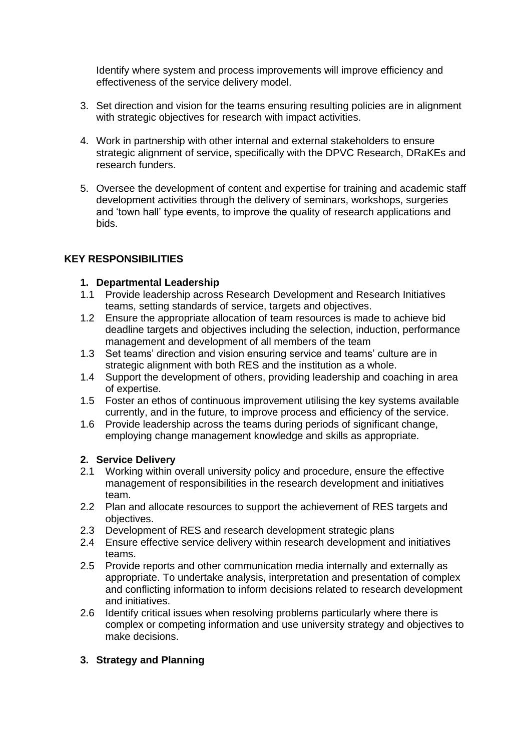Identify where system and process improvements will improve efficiency and effectiveness of the service delivery model.

- 3. Set direction and vision for the teams ensuring resulting policies are in alignment with strategic objectives for research with impact activities.
- 4. Work in partnership with other internal and external stakeholders to ensure strategic alignment of service, specifically with the DPVC Research, DRaKEs and research funders.
- 5. Oversee the development of content and expertise for training and academic staff development activities through the delivery of seminars, workshops, surgeries and 'town hall' type events, to improve the quality of research applications and bids.

# **KEY RESPONSIBILITIES**

### **1. Departmental Leadership**

- 1.1 Provide leadership across Research Development and Research Initiatives teams, setting standards of service, targets and objectives.
- 1.2 Ensure the appropriate allocation of team resources is made to achieve bid deadline targets and objectives including the selection, induction, performance management and development of all members of the team
- 1.3 Set teams' direction and vision ensuring service and teams' culture are in strategic alignment with both RES and the institution as a whole.
- 1.4 Support the development of others, providing leadership and coaching in area of expertise.
- 1.5 Foster an ethos of continuous improvement utilising the key systems available currently, and in the future, to improve process and efficiency of the service.
- 1.6 Provide leadership across the teams during periods of significant change, employing change management knowledge and skills as appropriate.

## **2. Service Delivery**

- 2.1 Working within overall university policy and procedure, ensure the effective management of responsibilities in the research development and initiatives team.
- 2.2 Plan and allocate resources to support the achievement of RES targets and objectives.
- 2.3 Development of RES and research development strategic plans
- 2.4 Ensure effective service delivery within research development and initiatives teams.
- 2.5 Provide reports and other communication media internally and externally as appropriate. To undertake analysis, interpretation and presentation of complex and conflicting information to inform decisions related to research development and initiatives.
- 2.6 Identify critical issues when resolving problems particularly where there is complex or competing information and use university strategy and objectives to make decisions.

## **3. Strategy and Planning**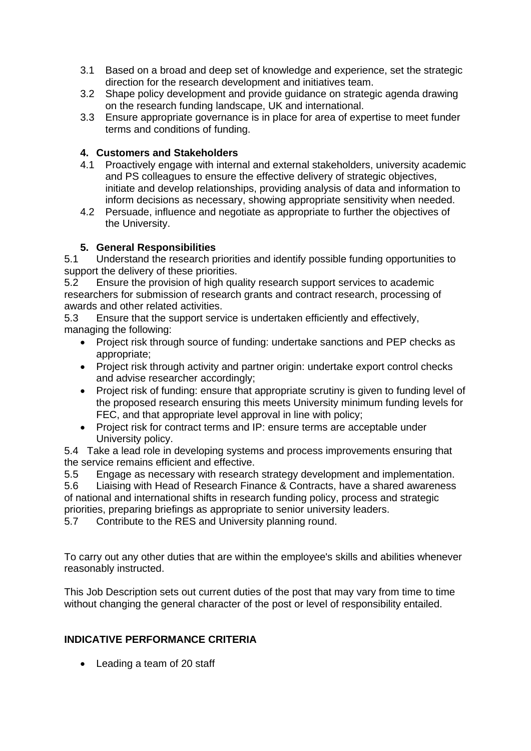- 3.1 Based on a broad and deep set of knowledge and experience, set the strategic direction for the research development and initiatives team.
- 3.2 Shape policy development and provide guidance on strategic agenda drawing on the research funding landscape, UK and international.
- 3.3 Ensure appropriate governance is in place for area of expertise to meet funder terms and conditions of funding.

# **4. Customers and Stakeholders**

- 4.1 Proactively engage with internal and external stakeholders, university academic and PS colleagues to ensure the effective delivery of strategic objectives, initiate and develop relationships, providing analysis of data and information to inform decisions as necessary, showing appropriate sensitivity when needed.
- 4.2 Persuade, influence and negotiate as appropriate to further the objectives of the University.

# **5. General Responsibilities**

5.1 Understand the research priorities and identify possible funding opportunities to support the delivery of these priorities.

5.2 Ensure the provision of high quality research support services to academic researchers for submission of research grants and contract research, processing of awards and other related activities.

5.3 Ensure that the support service is undertaken efficiently and effectively, managing the following:

- Project risk through source of funding: undertake sanctions and PEP checks as appropriate;
- Project risk through activity and partner origin: undertake export control checks and advise researcher accordingly;
- Project risk of funding: ensure that appropriate scrutiny is given to funding level of the proposed research ensuring this meets University minimum funding levels for FEC, and that appropriate level approval in line with policy;
- Project risk for contract terms and IP: ensure terms are acceptable under University policy.

5.4 Take a lead role in developing systems and process improvements ensuring that the service remains efficient and effective.

5.5 Engage as necessary with research strategy development and implementation.

5.6 Liaising with Head of Research Finance & Contracts, have a shared awareness of national and international shifts in research funding policy, process and strategic priorities, preparing briefings as appropriate to senior university leaders.

5.7 Contribute to the RES and University planning round.

To carry out any other duties that are within the employee's skills and abilities whenever reasonably instructed.

This Job Description sets out current duties of the post that may vary from time to time without changing the general character of the post or level of responsibility entailed.

## **INDICATIVE PERFORMANCE CRITERIA**

• Leading a team of 20 staff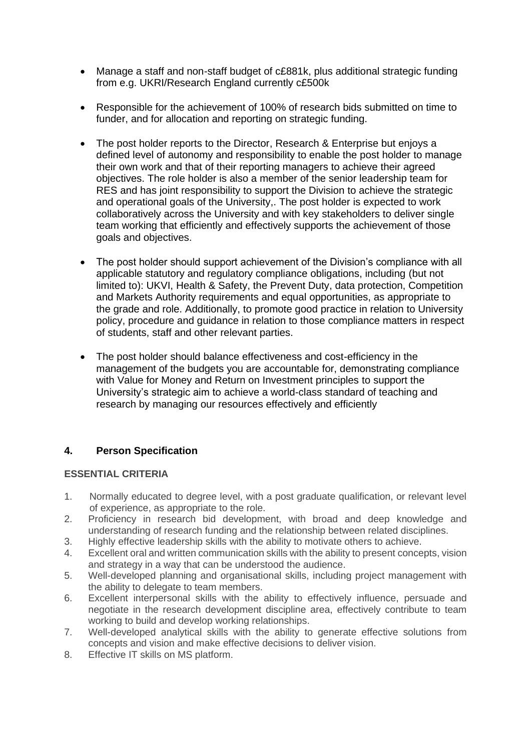- Manage a staff and non-staff budget of c£881k, plus additional strategic funding from e.g. UKRI/Research England currently c£500k
- Responsible for the achievement of 100% of research bids submitted on time to funder, and for allocation and reporting on strategic funding.
- The post holder reports to the Director, Research & Enterprise but enjoys a defined level of autonomy and responsibility to enable the post holder to manage their own work and that of their reporting managers to achieve their agreed objectives. The role holder is also a member of the senior leadership team for RES and has joint responsibility to support the Division to achieve the strategic and operational goals of the University,. The post holder is expected to work collaboratively across the University and with key stakeholders to deliver single team working that efficiently and effectively supports the achievement of those goals and objectives.
- The post holder should support achievement of the Division's compliance with all applicable statutory and regulatory compliance obligations, including (but not limited to): UKVI, Health & Safety, the Prevent Duty, data protection, Competition and Markets Authority requirements and equal opportunities, as appropriate to the grade and role. Additionally, to promote good practice in relation to University policy, procedure and guidance in relation to those compliance matters in respect of students, staff and other relevant parties.
- The post holder should balance effectiveness and cost-efficiency in the management of the budgets you are accountable for, demonstrating compliance with Value for Money and Return on Investment principles to support the University's strategic aim to achieve a world-class standard of teaching and research by managing our resources effectively and efficiently

## **4. Person Specification**

#### **ESSENTIAL CRITERIA**

- 1. Normally educated to degree level, with a post graduate qualification, or relevant level of experience, as appropriate to the role.
- 2. Proficiency in research bid development, with broad and deep knowledge and understanding of research funding and the relationship between related disciplines.
- 3. Highly effective leadership skills with the ability to motivate others to achieve.
- 4. Excellent oral and written communication skills with the ability to present concepts, vision and strategy in a way that can be understood the audience.
- 5. Well-developed planning and organisational skills, including project management with the ability to delegate to team members.
- 6. Excellent interpersonal skills with the ability to effectively influence, persuade and negotiate in the research development discipline area, effectively contribute to team working to build and develop working relationships.
- 7. Well-developed analytical skills with the ability to generate effective solutions from concepts and vision and make effective decisions to deliver vision.
- 8. Effective IT skills on MS platform.